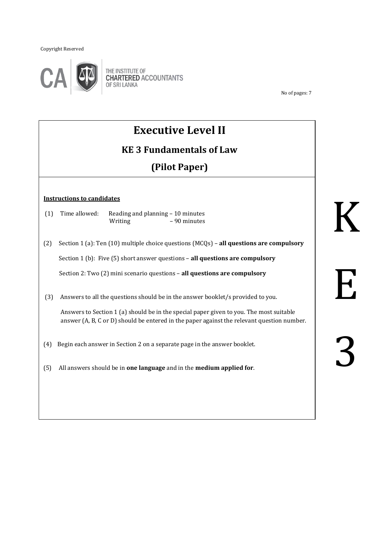Copyright Reserved



No of pages: 7

# **Executive Level II**

# **KE 3 Fundamentals of Law**

# **(Pilot Paper)**

#### **Instructions to candidates**

- (1) Time allowed: Reading and planning 10 minutes Writing  $-90$  minutes
- (2) Section 1 (a): Ten (10) multiple choice questions (MCQs) **all questions are compulsory**

Section 1 (b): Five (5) short answer questions – **all questions are compulsory**

Section 2: Two (2) mini scenario questions – **all questions are compulsory**

(3) Answers to all the questions should be in the answer booklet/s provided to you.

Answers to Section 1 (a) should be in the special paper given to you. The most suitable answer (A, B, C or D) should be entered in the paper against the relevant question number.

- (4) Begin each answer in Section 2 on a separate page in the answer booklet.
- (5) All answers should be in **one language** and in the **medium applied for**.

3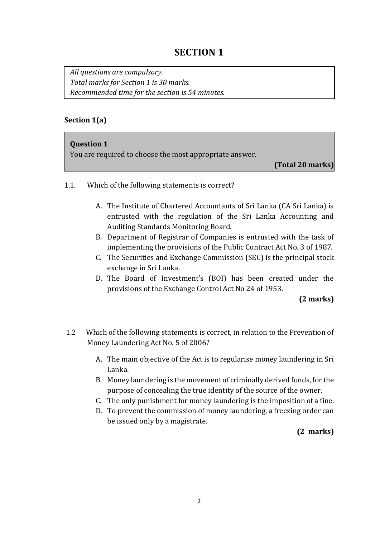# **SECTION 1**

*All questions are compulsory. Total marks for Section 1 is 30 marks. Recommended time for the section is 54 minutes.* 

### **Section 1(a)**

### **Question 1**

You are required to choose the most appropriate answer.

**(Total 20 marks)**

- 1.1. Which of the following statements is correct?
	- A. The Institute of Chartered Accountants of Sri Lanka (CA Sri Lanka) is entrusted with the regulation of the Sri Lanka Accounting and Auditing Standards Monitoring Board.
	- B. Department of Registrar of Companies is entrusted with the task of implementing the provisions of the Public Contract Act No. 3 of 1987.
	- C. The Securities and Exchange Commission (SEC) is the principal stock exchange in Sri Lanka.
	- D. The Board of Investment's (BOI) has been created under the provisions of the Exchange Control Act No 24 of 1953.

### **(2 marks)**

- 1.2 Which of the following statements is correct, in relation to the Prevention of Money Laundering Act No. 5 of 2006?
	- A. The main objective of the Act is to regularise money laundering in Sri Lanka.
	- B. Money laundering is the movement of criminally derived funds, for the purpose of concealing the true identity of the source of the owner.
	- C. The only punishment for money laundering is the imposition of a fine.
	- D. To prevent the commission of money laundering, a freezing order can be issued only by a magistrate.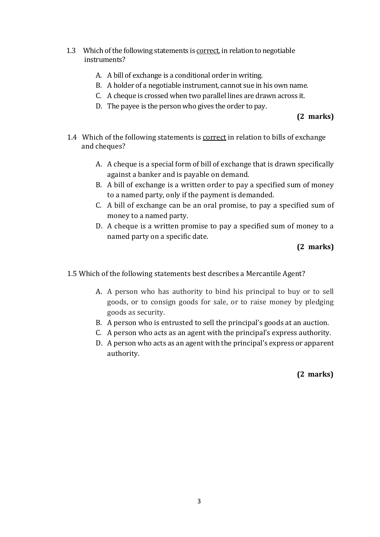- 1.3 Which of the following statements is correct, in relation to negotiable instruments?
	- A. A bill of exchange is a conditional order in writing.
	- B. A holder of a negotiable instrument, cannot sue in his own name.
	- C. A cheque is crossed when two parallel lines are drawn across it.
	- D. The payee is the person who gives the order to pay.

### **(2 marks)**

- 1.4 Which of the following statements is correct in relation to bills of exchange and cheques?
	- A. A cheque is a special form of bill of exchange that is drawn specifically against a banker and is payable on demand.
	- B. A bill of exchange is a written order to pay a specified sum of money to a named party, only if the payment is demanded.
	- C. A bill of exchange can be an oral promise, to pay a specified sum of money to a named party.
	- D. A cheque is a written promise to pay a specified sum of money to a named party on a specific date.

### **(2 marks)**

1.5 Which of the following statements best describes a Mercantile Agent?

- A. A person who has authority to bind his principal to buy or to sell goods, or to consign goods for sale, or to raise money by pledging goods as security.
- B. A person who is entrusted to sell the principal's goods at an auction.
- C. A person who acts as an agent with the principal's express authority.
- D. A person who acts as an agent with the principal's express or apparent authority.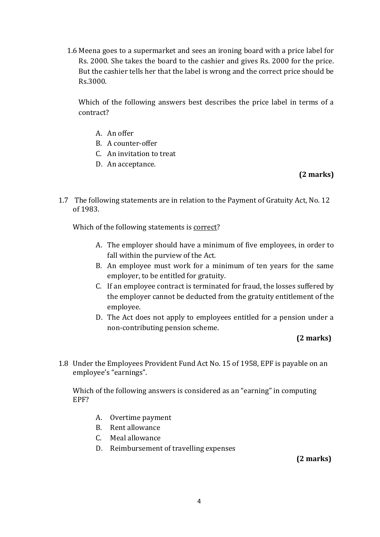1.6 Meena goes to a supermarket and sees an ironing board with a price label for Rs. 2000. She takes the board to the cashier and gives Rs. 2000 for the price. But the cashier tells her that the label is wrong and the correct price should be Rs.3000.

Which of the following answers best describes the price label in terms of a contract?

- A. An offer
- B. A counter-offer
- C. An invitation to treat
- D. An acceptance.

## **(2 marks)**

1.7 The following statements are in relation to the Payment of Gratuity Act, No. 12 of 1983.

Which of the following statements is correct?

- A. The employer should have a minimum of five employees, in order to fall within the purview of the Act.
- B. An employee must work for a minimum of ten years for the same employer, to be entitled for gratuity.
- C. If an employee contract is terminated for fraud, the losses suffered by the employer cannot be deducted from the gratuity entitlement of the employee.
- D. The Act does not apply to employees entitled for a pension under a non-contributing pension scheme.

## **(2 marks)**

1.8 Under the Employees Provident Fund Act No. 15 of 1958, EPF is payable on an employee's "earnings".

Which of the following answers is considered as an "earning" in computing EPF?

- A. Overtime payment
- B. Rent allowance
- C. Meal allowance
- D. Reimbursement of travelling expenses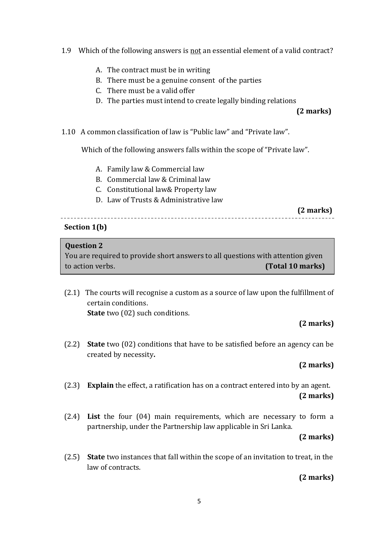- 1.9 Which of the following answers is not an essential element of a valid contract?
	- A. The contract must be in writing
	- B. There must be a genuine consent of the parties
	- C. There must be a valid offer
	- D. The parties must intend to create legally binding relations

**(2 marks)** 

1.10 A common classification of law is "Public law" and "Private law".

Which of the following answers falls within the scope of "Private law".

- A. Family law & Commercial law
- B. Commercial law & Criminal law
- C. Constitutional law& Property law
- D. Law of Trusts & Administrative law

 **(2 marks)** 

# **Section 1(b)**

### **Question 2**

You are required to provide short answers to all questions with attention given to action verbs. **(Total 10 marks)**

(2.1) The courts will recognise a custom as a source of law upon the fulfillment of certain conditions. **State** two (02) such conditions.

## **(2 marks)**

(2.2) **State** two (02) conditions that have to be satisfied before an agency can be created by necessity**.** 

## **(2 marks)**

- (2.3) **Explain** the effect, a ratification has on a contract entered into by an agent.  **(2 marks)**
- (2.4) **List** the four (04) main requirements, which are necessary to form a partnership, under the Partnership law applicable in Sri Lanka.

### **(2 marks)**

(2.5) **State** two instances that fall within the scope of an invitation to treat, in the law of contracts.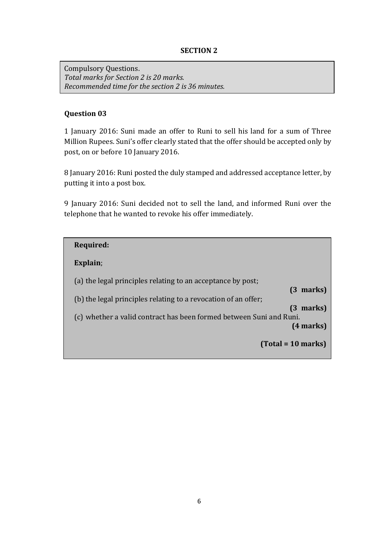### **SECTION 2**

Compulsory Questions. *Total marks for Section 2 is 20 marks. Recommended time for the section 2 is 36 minutes.*

### **Question 03**

1 January 2016: Suni made an offer to Runi to sell his land for a sum of Three Million Rupees. Suni's offer clearly stated that the offer should be accepted only by post, on or before 10 January 2016.

8 January 2016: Runi posted the duly stamped and addressed acceptance letter, by putting it into a post box.

9 January 2016: Suni decided not to sell the land, and informed Runi over the telephone that he wanted to revoke his offer immediately.

| Required:                                                                                                                                                                                            |                                                    |
|------------------------------------------------------------------------------------------------------------------------------------------------------------------------------------------------------|----------------------------------------------------|
| Explain;                                                                                                                                                                                             |                                                    |
| (a) the legal principles relating to an acceptance by post;<br>(b) the legal principles relating to a revocation of an offer;<br>(c) whether a valid contract has been formed between Suni and Runi. | $(3 \text{ marks})$<br>marks)<br>13<br>$(4$ marks) |
|                                                                                                                                                                                                      | $Total = 10 marks$                                 |